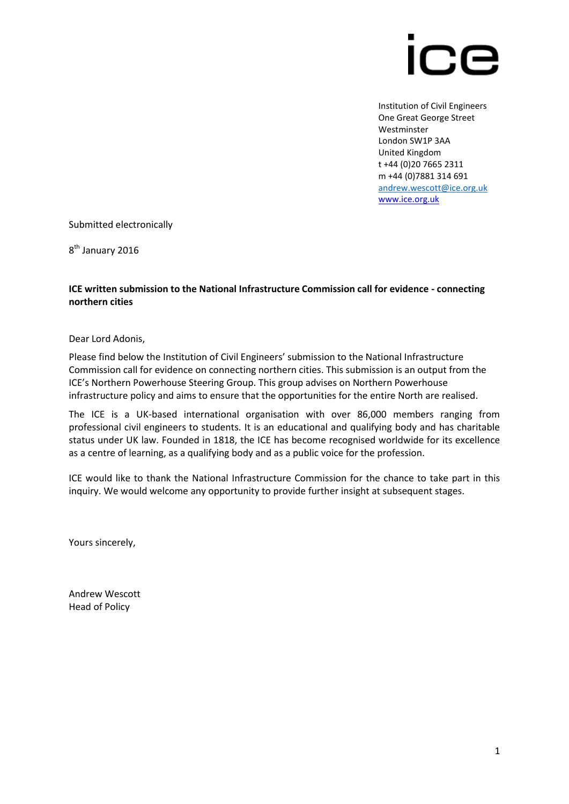

Institution of Civil Engineers One Great George Street Westminster London SW1P 3AA United Kingdom t +44 (0)20 7665 2311 m +44 (0)7881 314 691 [andrew.wescott@ice.org.uk](mailto:andrew.wescott@ice.org.uk) [www.ice.org.uk](http://www.ice.org.uk/)

Submitted electronically

8<sup>th</sup> January 2016

### **ICE written submission to the National Infrastructure Commission call for evidence - connecting northern cities**

Dear Lord Adonis,

Please find below the Institution of Civil Engineers' submission to the National Infrastructure Commission call for evidence on connecting northern cities. This submission is an output from the ICE's Northern Powerhouse Steering Group. This group advises on Northern Powerhouse infrastructure policy and aims to ensure that the opportunities for the entire North are realised.

The ICE is a UK-based international organisation with over 86,000 members ranging from professional civil engineers to students. It is an educational and qualifying body and has charitable status under UK law. Founded in 1818, the ICE has become recognised worldwide for its excellence as a centre of learning, as a qualifying body and as a public voice for the profession.

ICE would like to thank the National Infrastructure Commission for the chance to take part in this inquiry. We would welcome any opportunity to provide further insight at subsequent stages.

Yours sincerely,

Andrew Wescott Head of Policy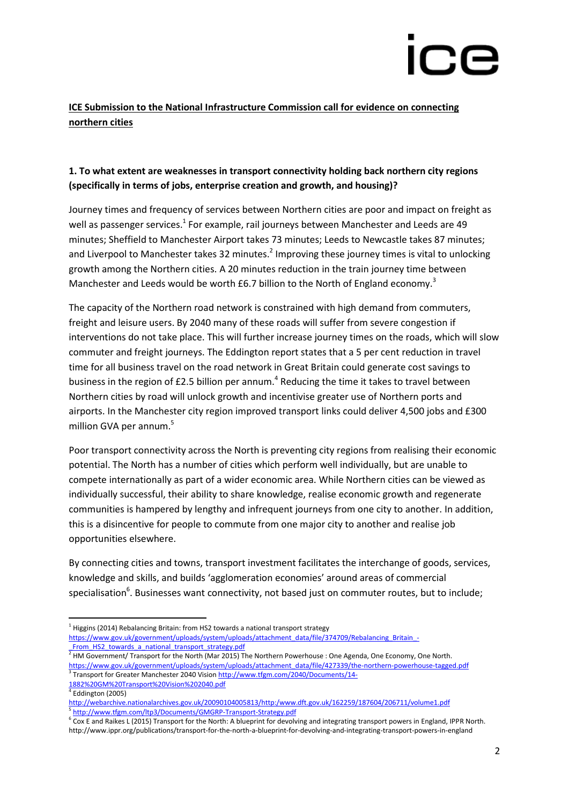# M.

# **ICE Submission to the National Infrastructure Commission call for evidence on connecting northern cities**

# **1. To what extent are weaknesses in transport connectivity holding back northern city regions (specifically in terms of jobs, enterprise creation and growth, and housing)?**

Journey times and frequency of services between Northern cities are poor and impact on freight as well as passenger services.<sup>1</sup> For example, rail journeys between Manchester and Leeds are 49 minutes; Sheffield to Manchester Airport takes 73 minutes; Leeds to Newcastle takes 87 minutes; and Liverpool to Manchester takes 32 minutes.<sup>2</sup> Improving these journey times is vital to unlocking growth among the Northern cities. A 20 minutes reduction in the train journey time between Manchester and Leeds would be worth £6.7 billion to the North of England economy.<sup>3</sup>

The capacity of the Northern road network is constrained with high demand from commuters, freight and leisure users. By 2040 many of these roads will suffer from severe congestion if interventions do not take place. This will further increase journey times on the roads, which will slow commuter and freight journeys. The Eddington report states that a 5 per cent reduction in travel time for all business travel on the road network in Great Britain could generate cost savings to business in the region of £2.5 billion per annum.<sup>4</sup> Reducing the time it takes to travel between Northern cities by road will unlock growth and incentivise greater use of Northern ports and airports. In the Manchester city region improved transport links could deliver 4,500 jobs and £300 million GVA per annum.<sup>5</sup>

Poor transport connectivity across the North is preventing city regions from realising their economic potential. The North has a number of cities which perform well individually, but are unable to compete internationally as part of a wider economic area. While Northern cities can be viewed as individually successful, their ability to share knowledge, realise economic growth and regenerate communities is hampered by lengthy and infrequent journeys from one city to another. In addition, this is a disincentive for people to commute from one major city to another and realise job opportunities elsewhere.

By connecting cities and towns, transport investment facilitates the interchange of goods, services, knowledge and skills, and builds 'agglomeration economies' around areas of commercial specialisation<sup>6</sup>. Businesses want connectivity, not based just on commuter routes, but to include;

 $\overline{a}$ 

 $^1$  Higgins (2014) Rebalancing Britain: from HS2 towards a national transport strategy [https://www.gov.uk/government/uploads/system/uploads/attachment\\_data/file/374709/Rebalancing\\_Britain\\_-](https://www.gov.uk/government/uploads/system/uploads/attachment_data/file/374709/Rebalancing_Britain_-_From_HS2_towards_a_national_transport_strategy.pdf) From HS2 towards a national transport strategy.pdf

<sup>2</sup> HM Government/ Transport for the North (Mar 2015) The Northern Powerhouse : One Agenda, One Economy, One North. [https://www.gov.uk/government/uploads/system/uploads/attachment\\_data/file/427339/the-northern-powerhouse-tagged.pdf](https://www.gov.uk/government/uploads/system/uploads/attachment_data/file/427339/the-northern-powerhouse-tagged.pdf)

<sup>&</sup>lt;sup>3</sup> Transport for Greater Manchester 2040 Visio[n http://www.tfgm.com/2040/Documents/14-](http://www.tfgm.com/2040/Documents/14-1882%20GM%20Transport%20Vision%202040.pdf) [1882%20GM%20Transport%20Vision%202040.pdf](http://www.tfgm.com/2040/Documents/14-1882%20GM%20Transport%20Vision%202040.pdf)

<sup>4</sup> Eddington (2005)

<http://webarchive.nationalarchives.gov.uk/20090104005813/http:/www.dft.gov.uk/162259/187604/206711/volume1.pdf> 5 <http://www.tfgm.com/ltp3/Documents/GMGRP-Transport-Strategy.pdf>

<sup>&</sup>lt;sup>6</sup> Cox E and Raikes L (2015) Transport for the North: A blueprint for devolving and integrating transport powers in England, IPPR North. http://www.ippr.org/publications/transport-for-the-north-a-blueprint-for-devolving-and-integrating-transport-powers-in-england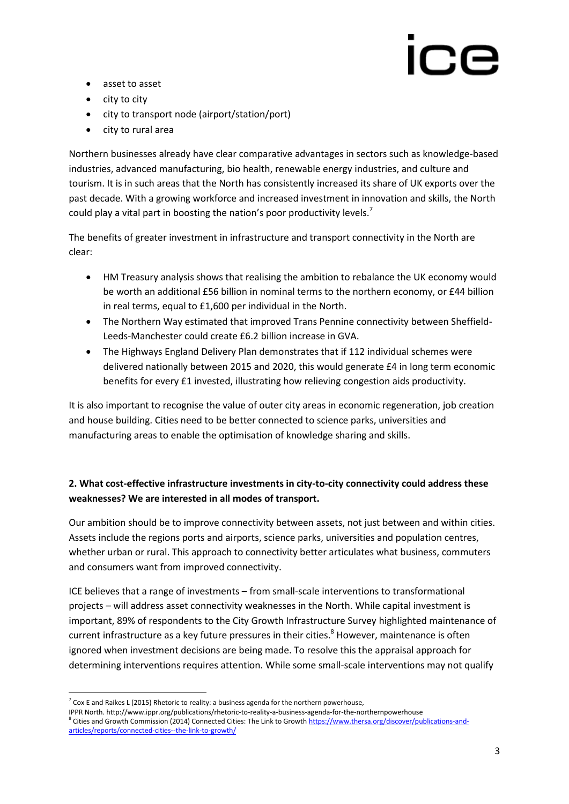- asset to asset
- $\bullet$  city to city
- city to transport node (airport/station/port)
- city to rural area

Northern businesses already have clear comparative advantages in sectors such as knowledge-based industries, advanced manufacturing, bio health, renewable energy industries, and culture and tourism. It is in such areas that the North has consistently increased its share of UK exports over the past decade. With a growing workforce and increased investment in innovation and skills, the North could play a vital part in boosting the nation's poor productivity levels.<sup>7</sup>

The benefits of greater investment in infrastructure and transport connectivity in the North are clear:

- HM Treasury analysis shows that realising the ambition to rebalance the UK economy would be worth an additional £56 billion in nominal terms to the northern economy, or £44 billion in real terms, equal to £1,600 per individual in the North.
- The Northern Way estimated that improved Trans Pennine connectivity between Sheffield-Leeds-Manchester could create £6.2 billion increase in GVA.
- The Highways England Delivery Plan demonstrates that if 112 individual schemes were delivered nationally between 2015 and 2020, this would generate £4 in long term economic benefits for every £1 invested, illustrating how relieving congestion aids productivity.

It is also important to recognise the value of outer city areas in economic regeneration, job creation and house building. Cities need to be better connected to science parks, universities and manufacturing areas to enable the optimisation of knowledge sharing and skills.

# **2. What cost-effective infrastructure investments in city-to-city connectivity could address these weaknesses? We are interested in all modes of transport.**

Our ambition should be to improve connectivity between assets, not just between and within cities. Assets include the regions ports and airports, science parks, universities and population centres, whether urban or rural. This approach to connectivity better articulates what business, commuters and consumers want from improved connectivity.

ICE believes that a range of investments – from small-scale interventions to transformational projects – will address asset connectivity weaknesses in the North. While capital investment is important, 89% of respondents to the City Growth Infrastructure Survey highlighted maintenance of current infrastructure as a key future pressures in their cities.<sup>8</sup> However, maintenance is often ignored when investment decisions are being made. To resolve this the appraisal approach for determining interventions requires attention. While some small-scale interventions may not qualify

**<sup>.</sup>**  $^7$  Cox E and Raikes L (2015) Rhetoric to reality: a business agenda for the northern powerhouse,

IPPR North. http://www.ippr.org/publications/rhetoric-to-reality-a-business-agenda-for-the-northernpowerhouse <sup>8</sup> Cities and Growth Commission (2014) Connected Cities: The Link to Growt[h https://www.thersa.org/discover/publications-and](https://www.thersa.org/discover/publications-and-articles/reports/connected-cities--the-link-to-growth/)[articles/reports/connected-cities--the-link-to-growth/](https://www.thersa.org/discover/publications-and-articles/reports/connected-cities--the-link-to-growth/)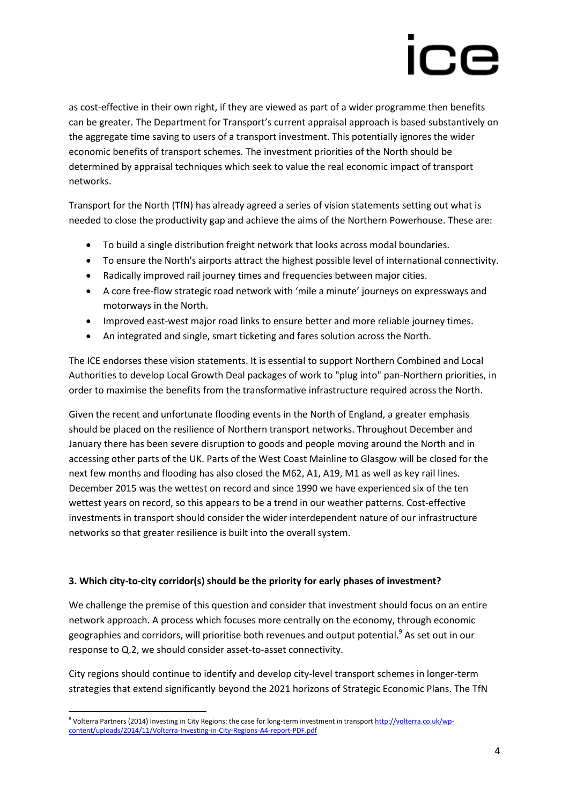as cost-effective in their own right, if they are viewed as part of a wider programme then benefits can be greater. The Department for Transport's current appraisal approach is based substantively on the aggregate time saving to users of a transport investment. This potentially ignores the wider economic benefits of transport schemes. The investment priorities of the North should be determined by appraisal techniques which seek to value the real economic impact of transport networks.

Transport for the North (TfN) has already agreed a series of vision statements setting out what is needed to close the productivity gap and achieve the aims of the Northern Powerhouse. These are:

- To build a single distribution freight network that looks across modal boundaries.
- To ensure the North's airports attract the highest possible level of international connectivity.
- Radically improved rail journey times and frequencies between major cities.
- A core free-flow strategic road network with 'mile a minute' journeys on expressways and motorways in the North.
- Improved east-west major road links to ensure better and more reliable journey times.
- An integrated and single, smart ticketing and fares solution across the North.

The ICE endorses these vision statements. It is essential to support Northern Combined and Local Authorities to develop Local Growth Deal packages of work to "plug into" pan-Northern priorities, in order to maximise the benefits from the transformative infrastructure required across the North.

Given the recent and unfortunate flooding events in the North of England, a greater emphasis should be placed on the resilience of Northern transport networks. Throughout December and January there has been severe disruption to goods and people moving around the North and in accessing other parts of the UK. Parts of the West Coast Mainline to Glasgow will be closed for the next few months and flooding has also closed the M62, A1, A19, M1 as well as key rail lines. December 2015 was the wettest on record and since 1990 we have experienced six of the ten wettest years on record, so this appears to be a trend in our weather patterns. Cost-effective investments in transport should consider the wider interdependent nature of our infrastructure networks so that greater resilience is built into the overall system.

## **3. Which city-to-city corridor(s) should be the priority for early phases of investment?**

We challenge the premise of this question and consider that investment should focus on an entire network approach. A process which focuses more centrally on the economy, through economic geographies and corridors, will prioritise both revenues and output potential.<sup>9</sup> As set out in our response to Q.2, we should consider asset-to-asset connectivity.

City regions should continue to identify and develop city-level transport schemes in longer-term strategies that extend significantly beyond the 2021 horizons of Strategic Economic Plans. The TfN

<sup>1</sup> <sup>9</sup> Volterra Partners (2014) Investing in City Regions: the case for long-term investment in transpor[t http://volterra.co.uk/wp](http://volterra.co.uk/wp-content/uploads/2014/11/Volterra-Investing-in-City-Regions-A4-report-PDF.pdf)[content/uploads/2014/11/Volterra-Investing-in-City-Regions-A4-report-PDF.pdf](http://volterra.co.uk/wp-content/uploads/2014/11/Volterra-Investing-in-City-Regions-A4-report-PDF.pdf)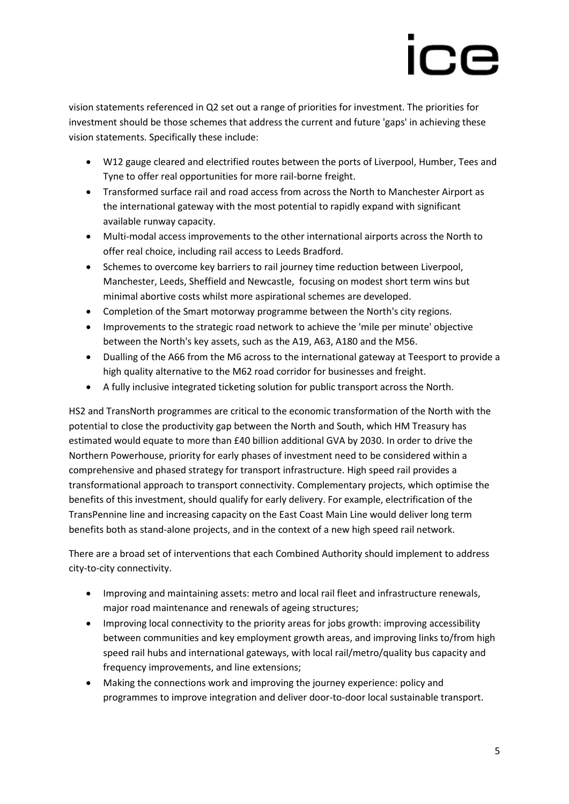# $\bf C$ E

vision statements referenced in Q2 set out a range of priorities for investment. The priorities for investment should be those schemes that address the current and future 'gaps' in achieving these vision statements. Specifically these include:

- W12 gauge cleared and electrified routes between the ports of Liverpool, Humber, Tees and Tyne to offer real opportunities for more rail-borne freight.
- Transformed surface rail and road access from across the North to Manchester Airport as the international gateway with the most potential to rapidly expand with significant available runway capacity.
- Multi-modal access improvements to the other international airports across the North to offer real choice, including rail access to Leeds Bradford.
- Schemes to overcome key barriers to rail journey time reduction between Liverpool, Manchester, Leeds, Sheffield and Newcastle, focusing on modest short term wins but minimal abortive costs whilst more aspirational schemes are developed.
- Completion of the Smart motorway programme between the North's city regions.
- Improvements to the strategic road network to achieve the 'mile per minute' objective between the North's key assets, such as the A19, A63, A180 and the M56.
- Dualling of the A66 from the M6 across to the international gateway at Teesport to provide a high quality alternative to the M62 road corridor for businesses and freight.
- A fully inclusive integrated ticketing solution for public transport across the North.

HS2 and TransNorth programmes are critical to the economic transformation of the North with the potential to close the productivity gap between the North and South, which HM Treasury has estimated would equate to more than £40 billion additional GVA by 2030. In order to drive the Northern Powerhouse, priority for early phases of investment need to be considered within a comprehensive and phased strategy for transport infrastructure. High speed rail provides a transformational approach to transport connectivity. Complementary projects, which optimise the benefits of this investment, should qualify for early delivery. For example, electrification of the TransPennine line and increasing capacity on the East Coast Main Line would deliver long term benefits both as stand-alone projects, and in the context of a new high speed rail network.

There are a broad set of interventions that each Combined Authority should implement to address city-to-city connectivity.

- Improving and maintaining assets: metro and local rail fleet and infrastructure renewals, major road maintenance and renewals of ageing structures;
- Improving local connectivity to the priority areas for jobs growth: improving accessibility between communities and key employment growth areas, and improving links to/from high speed rail hubs and international gateways, with local rail/metro/quality bus capacity and frequency improvements, and line extensions;
- Making the connections work and improving the journey experience: policy and programmes to improve integration and deliver door-to-door local sustainable transport.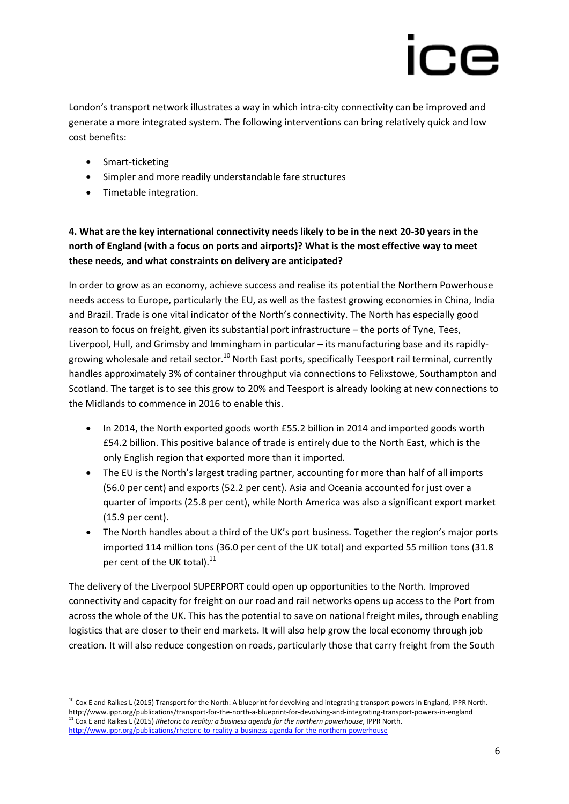London's transport network illustrates a way in which intra-city connectivity can be improved and generate a more integrated system. The following interventions can bring relatively quick and low cost benefits:

- Smart-ticketing
- Simpler and more readily understandable fare structures
- Timetable integration.

# **4. What are the key international connectivity needs likely to be in the next 20-30 years in the north of England (with a focus on ports and airports)? What is the most effective way to meet these needs, and what constraints on delivery are anticipated?**

In order to grow as an economy, achieve success and realise its potential the Northern Powerhouse needs access to Europe, particularly the EU, as well as the fastest growing economies in China, India and Brazil. Trade is one vital indicator of the North's connectivity. The North has especially good reason to focus on freight, given its substantial port infrastructure – the ports of Tyne, Tees, Liverpool, Hull, and Grimsby and Immingham in particular – its manufacturing base and its rapidlygrowing wholesale and retail sector.<sup>10</sup> North East ports, specifically Teesport rail terminal, currently handles approximately 3% of container throughput via connections to Felixstowe, Southampton and Scotland. The target is to see this grow to 20% and Teesport is already looking at new connections to the Midlands to commence in 2016 to enable this.

- In 2014, the North exported goods worth £55.2 billion in 2014 and imported goods worth £54.2 billion. This positive balance of trade is entirely due to the North East, which is the only English region that exported more than it imported.
- The EU is the North's largest trading partner, accounting for more than half of all imports (56.0 per cent) and exports (52.2 per cent). Asia and Oceania accounted for just over a quarter of imports (25.8 per cent), while North America was also a significant export market (15.9 per cent).
- The North handles about a third of the UK's port business. Together the region's major ports imported 114 million tons (36.0 per cent of the UK total) and exported 55 million tons (31.8 per cent of the UK total).<sup>11</sup>

The delivery of the Liverpool SUPERPORT could open up opportunities to the North. Improved connectivity and capacity for freight on our road and rail networks opens up access to the Port from across the whole of the UK. This has the potential to save on national freight miles, through enabling logistics that are closer to their end markets. It will also help grow the local economy through job creation. It will also reduce congestion on roads, particularly those that carry freight from the South

**<sup>.</sup>**  $10$  Cox E and Raikes L (2015) Transport for the North: A blueprint for devolving and integrating transport powers in England, IPPR North. http://www.ippr.org/publications/transport-for-the-north-a-blueprint-for-devolving-and-integrating-transport-powers-in-england <sup>11</sup> Cox E and Raikes L (2015) *Rhetoric to reality: a business agenda for the northern powerhouse*, IPPR North. <http://www.ippr.org/publications/rhetoric-to-reality-a-business-agenda-for-the-northern-powerhouse>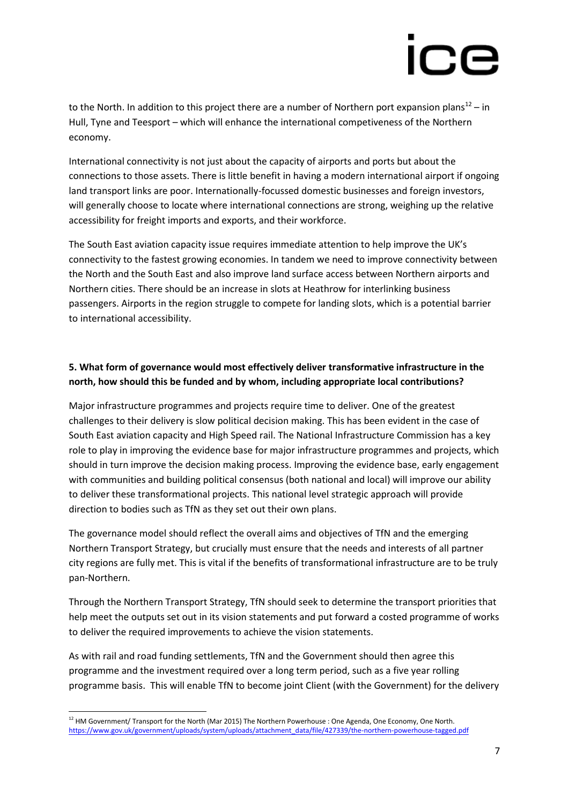to the North. In addition to this project there are a number of Northern port expansion plans<sup>12</sup> – in Hull, Tyne and Teesport – which will enhance the international competiveness of the Northern economy.

International connectivity is not just about the capacity of airports and ports but about the connections to those assets. There is little benefit in having a modern international airport if ongoing land transport links are poor. Internationally-focussed domestic businesses and foreign investors, will generally choose to locate where international connections are strong, weighing up the relative accessibility for freight imports and exports, and their workforce.

The South East aviation capacity issue requires immediate attention to help improve the UK's connectivity to the fastest growing economies. In tandem we need to improve connectivity between the North and the South East and also improve land surface access between Northern airports and Northern cities. There should be an increase in slots at Heathrow for interlinking business passengers. Airports in the region struggle to compete for landing slots, which is a potential barrier to international accessibility.

# **5. What form of governance would most effectively deliver transformative infrastructure in the north, how should this be funded and by whom, including appropriate local contributions?**

Major infrastructure programmes and projects require time to deliver. One of the greatest challenges to their delivery is slow political decision making. This has been evident in the case of South East aviation capacity and High Speed rail. The National Infrastructure Commission has a key role to play in improving the evidence base for major infrastructure programmes and projects, which should in turn improve the decision making process. Improving the evidence base, early engagement with communities and building political consensus (both national and local) will improve our ability to deliver these transformational projects. This national level strategic approach will provide direction to bodies such as TfN as they set out their own plans.

The governance model should reflect the overall aims and objectives of TfN and the emerging Northern Transport Strategy, but crucially must ensure that the needs and interests of all partner city regions are fully met. This is vital if the benefits of transformational infrastructure are to be truly pan-Northern.

Through the Northern Transport Strategy, TfN should seek to determine the transport priorities that help meet the outputs set out in its vision statements and put forward a costed programme of works to deliver the required improvements to achieve the vision statements.

As with rail and road funding settlements, TfN and the Government should then agree this programme and the investment required over a long term period, such as a five year rolling programme basis. This will enable TfN to become joint Client (with the Government) for the delivery

1

 $12$  HM Government/ Transport for the North (Mar 2015) The Northern Powerhouse : One Agenda, One Economy, One North. [https://www.gov.uk/government/uploads/system/uploads/attachment\\_data/file/427339/the-northern-powerhouse-tagged.pdf](https://www.gov.uk/government/uploads/system/uploads/attachment_data/file/427339/the-northern-powerhouse-tagged.pdf)